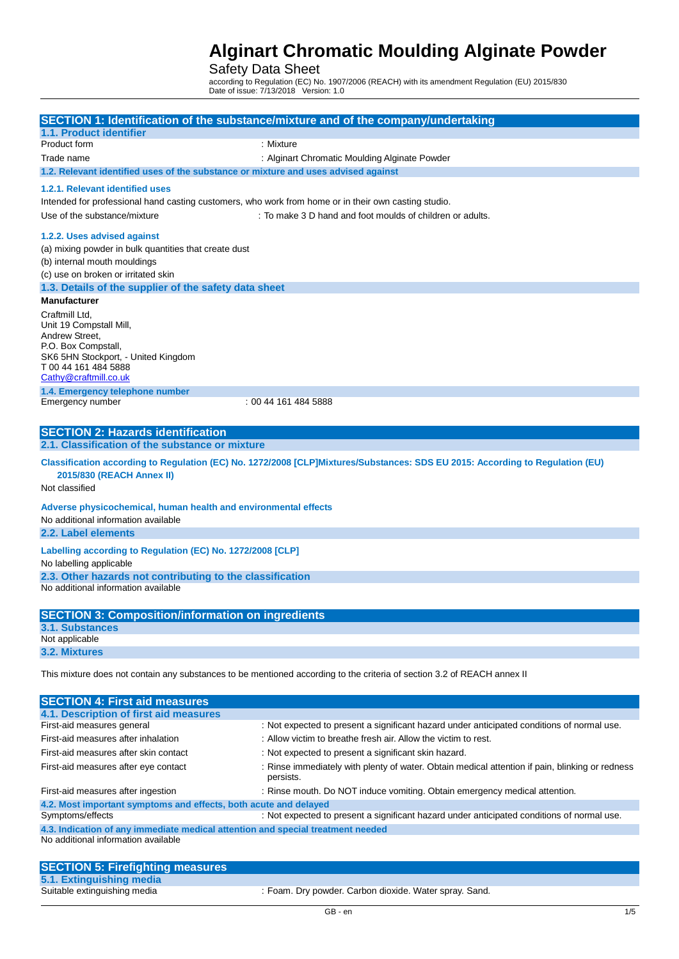### Safety Data Sheet

according to Regulation (EC) No. 1907/2006 (REACH) with its amendment Regulation (EU) 2015/830 Date of issue: 7/13/2018 Version: 1.0

| 1.1. Product identifier                                                                                                 | SECTION 1: Identification of the substance/mixture and of the company/undertaking                                             |  |
|-------------------------------------------------------------------------------------------------------------------------|-------------------------------------------------------------------------------------------------------------------------------|--|
| Product form                                                                                                            | : Mixture                                                                                                                     |  |
| Trade name                                                                                                              | : Alginart Chromatic Moulding Alginate Powder                                                                                 |  |
| 1.2. Relevant identified uses of the substance or mixture and uses advised against                                      |                                                                                                                               |  |
| 1.2.1. Relevant identified uses                                                                                         |                                                                                                                               |  |
| Intended for professional hand casting customers, who work from home or in their own casting studio.                    |                                                                                                                               |  |
| Use of the substance/mixture                                                                                            | : To make 3 D hand and foot moulds of children or adults.                                                                     |  |
|                                                                                                                         |                                                                                                                               |  |
| 1.2.2. Uses advised against                                                                                             |                                                                                                                               |  |
| (a) mixing powder in bulk quantities that create dust                                                                   |                                                                                                                               |  |
| (b) internal mouth mouldings                                                                                            |                                                                                                                               |  |
| (c) use on broken or irritated skin                                                                                     |                                                                                                                               |  |
| 1.3. Details of the supplier of the safety data sheet                                                                   |                                                                                                                               |  |
| <b>Manufacturer</b>                                                                                                     |                                                                                                                               |  |
| Craftmill Ltd.<br>Unit 19 Compstall Mill,                                                                               |                                                                                                                               |  |
| Andrew Street,                                                                                                          |                                                                                                                               |  |
| P.O. Box Compstall,                                                                                                     |                                                                                                                               |  |
| SK6 5HN Stockport, - United Kingdom<br>T00 44 161 484 5888                                                              |                                                                                                                               |  |
| Cathy@craftmill.co.uk                                                                                                   |                                                                                                                               |  |
| 1.4. Emergency telephone number                                                                                         |                                                                                                                               |  |
| Emergency number                                                                                                        | : 00 44 161 484 5888                                                                                                          |  |
|                                                                                                                         |                                                                                                                               |  |
| <b>SECTION 2: Hazards identification</b>                                                                                |                                                                                                                               |  |
| 2.1. Classification of the substance or mixture                                                                         |                                                                                                                               |  |
|                                                                                                                         | Classification according to Regulation (EC) No. 1272/2008 [CLP]Mixtures/Substances: SDS EU 2015: According to Regulation (EU) |  |
| 2015/830 (REACH Annex II)                                                                                               |                                                                                                                               |  |
| Not classified                                                                                                          |                                                                                                                               |  |
| Adverse physicochemical, human health and environmental effects                                                         |                                                                                                                               |  |
| No additional information available                                                                                     |                                                                                                                               |  |
| 2.2. Label elements                                                                                                     |                                                                                                                               |  |
| Labelling according to Regulation (EC) No. 1272/2008 [CLP]                                                              |                                                                                                                               |  |
| No labelling applicable                                                                                                 |                                                                                                                               |  |
| 2.3. Other hazards not contributing to the classification                                                               |                                                                                                                               |  |
| No additional information available                                                                                     |                                                                                                                               |  |
|                                                                                                                         |                                                                                                                               |  |
| <b>SECTION 3: Composition/information on ingredients</b>                                                                |                                                                                                                               |  |
| 3.1. Substances<br>Not applicable                                                                                       |                                                                                                                               |  |
| 3.2. Mixtures                                                                                                           |                                                                                                                               |  |
|                                                                                                                         |                                                                                                                               |  |
| This mixture does not contain any substances to be mentioned according to the criteria of section 3.2 of REACH annex II |                                                                                                                               |  |
|                                                                                                                         |                                                                                                                               |  |
| <b>SECTION 4: First aid measures</b><br>4.1. Description of first aid measures                                          |                                                                                                                               |  |
| First-aid measures general                                                                                              | : Not expected to present a significant hazard under anticipated conditions of normal use.                                    |  |
| First-aid measures after inhalation                                                                                     | : Allow victim to breathe fresh air. Allow the victim to rest.                                                                |  |
| First-aid measures after skin contact                                                                                   | : Not expected to present a significant skin hazard.                                                                          |  |
| First-aid measures after eye contact                                                                                    | : Rinse immediately with plenty of water. Obtain medical attention if pain, blinking or redness                               |  |
|                                                                                                                         | persists.                                                                                                                     |  |
| First-aid measures after ingestion                                                                                      | : Rinse mouth. Do NOT induce vomiting. Obtain emergency medical attention.                                                    |  |
| 4.2. Most important symptoms and effects, both acute and delayed<br>Symptoms/effects                                    | : Not expected to present a significant hazard under anticipated conditions of normal use.                                    |  |
| 4.3. Indication of any immediate medical attention and special treatment needed                                         |                                                                                                                               |  |
| No additional information available                                                                                     |                                                                                                                               |  |

| <b>SECTION 5: Firefighting measures</b> |                                                        |
|-----------------------------------------|--------------------------------------------------------|
| 5.1. Extinguishing media                |                                                        |
| Suitable extinguishing media            | : Foam. Dry powder. Carbon dioxide. Water spray. Sand. |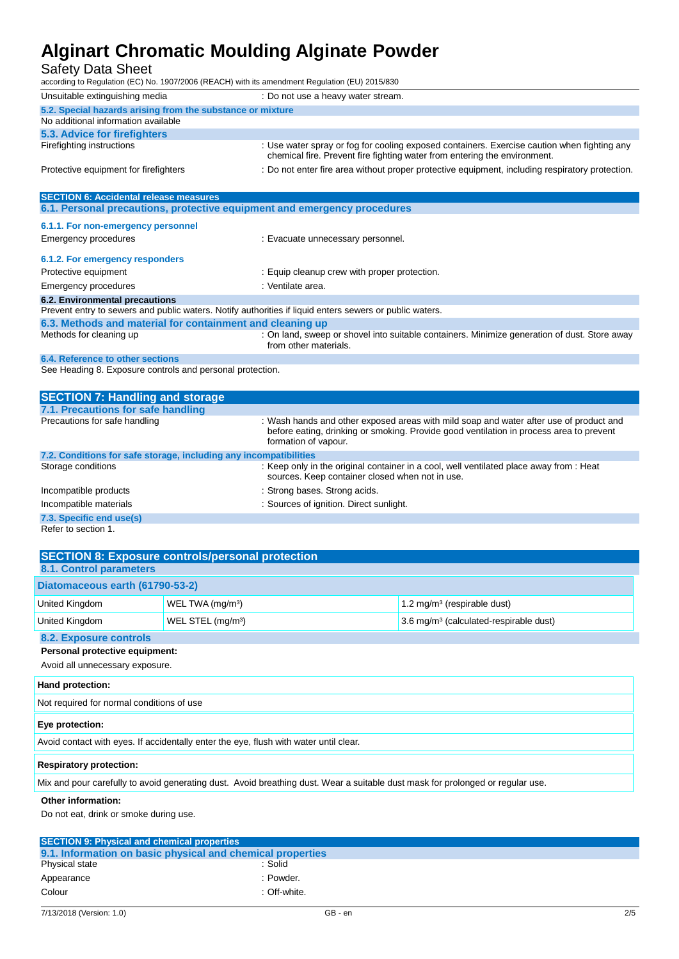## Safety Data Sheet

according to Regulation (EC) No. 1907/2006 (REACH) with its amendment Regulation (EU) 2015/830

| Unsuitable extinguishing media                                           | : Do not use a heavy water stream.                                                                                                                                       |  |
|--------------------------------------------------------------------------|--------------------------------------------------------------------------------------------------------------------------------------------------------------------------|--|
| 5.2. Special hazards arising from the substance or mixture               |                                                                                                                                                                          |  |
| No additional information available                                      |                                                                                                                                                                          |  |
| 5.3. Advice for firefighters                                             |                                                                                                                                                                          |  |
| Firefighting instructions                                                | : Use water spray or fog for cooling exposed containers. Exercise caution when fighting any<br>chemical fire. Prevent fire fighting water from entering the environment. |  |
| Protective equipment for firefighters                                    | : Do not enter fire area without proper protective equipment, including respiratory protection.                                                                          |  |
|                                                                          |                                                                                                                                                                          |  |
| <b>SECTION 6: Accidental release measures</b>                            |                                                                                                                                                                          |  |
| 6.1. Personal precautions, protective equipment and emergency procedures |                                                                                                                                                                          |  |
| 6.1.1. For non-emergency personnel                                       |                                                                                                                                                                          |  |
|                                                                          |                                                                                                                                                                          |  |
| Emergency procedures                                                     | : Evacuate unnecessary personnel.                                                                                                                                        |  |
| 6.1.2. For emergency responders                                          |                                                                                                                                                                          |  |
| Protective equipment                                                     | : Equip cleanup crew with proper protection.                                                                                                                             |  |
|                                                                          |                                                                                                                                                                          |  |

### Emergency procedures in the set of the set of the Senate area.

| 6.2. Environmental precautions                                                                          |                                                                                                                       |
|---------------------------------------------------------------------------------------------------------|-----------------------------------------------------------------------------------------------------------------------|
| Prevent entry to sewers and public waters. Notify authorities if liquid enters sewers or public waters. |                                                                                                                       |
| 6.3. Methods and material for containment and cleaning up                                               |                                                                                                                       |
| Methods for cleaning up                                                                                 | : On land, sweep or shovel into suitable containers. Minimize generation of dust. Store away<br>from other materials. |

#### **6.4. Reference to other sections**

See Heading 8. Exposure controls and personal protection.

| <b>SECTION 7: Handling and storage</b>                            |                                                                                                                                                                                                           |
|-------------------------------------------------------------------|-----------------------------------------------------------------------------------------------------------------------------------------------------------------------------------------------------------|
| 7.1. Precautions for safe handling                                |                                                                                                                                                                                                           |
| Precautions for safe handling                                     | : Wash hands and other exposed areas with mild soap and water after use of product and<br>before eating, drinking or smoking. Provide good ventilation in process area to prevent<br>formation of vapour. |
| 7.2. Conditions for safe storage, including any incompatibilities |                                                                                                                                                                                                           |
| Storage conditions                                                | : Keep only in the original container in a cool, well ventilated place away from : Heat<br>sources. Keep container closed when not in use.                                                                |
| Incompatible products                                             | : Strong bases. Strong acids.                                                                                                                                                                             |
| Incompatible materials                                            | : Sources of ignition. Direct sunlight.                                                                                                                                                                   |
| 7.3. Specific end use(s)                                          |                                                                                                                                                                                                           |

Refer to section 1.

| <b>SECTION 8: Exposure controls/personal protection</b><br>8.1. Control parameters |                               |                                                    |
|------------------------------------------------------------------------------------|-------------------------------|----------------------------------------------------|
| Diatomaceous earth (61790-53-2)                                                    |                               |                                                    |
| United Kingdom                                                                     | WEL TWA (mg/m <sup>3</sup> )  | $1.2 \text{ mg/m}^3$ (respirable dust)             |
| United Kingdom                                                                     | WEL STEL (mg/m <sup>3</sup> ) | 3.6 mg/m <sup>3</sup> (calculated-respirable dust) |
| 8.2. Exposure controls                                                             |                               |                                                    |

### **Personal protective equipment:**

Avoid all unnecessary exposure.

| Hand protection:                                                                                                               |  |
|--------------------------------------------------------------------------------------------------------------------------------|--|
| Not required for normal conditions of use                                                                                      |  |
| Eye protection:                                                                                                                |  |
| Avoid contact with eyes. If accidentally enter the eye, flush with water until clear.                                          |  |
| <b>Respiratory protection:</b>                                                                                                 |  |
| Mix and pour carefully to avoid generating dust. Avoid breathing dust. Wear a suitable dust mask for prolonged or regular use. |  |

#### **Other information:**

Do not eat, drink or smoke during use.

| <b>SECTION 9: Physical and chemical properties</b>         |              |
|------------------------------------------------------------|--------------|
| 9.1. Information on basic physical and chemical properties |              |
| Physical state                                             | : Solid      |
| Appearance                                                 | : Powder.    |
| Colour                                                     | : Off-white. |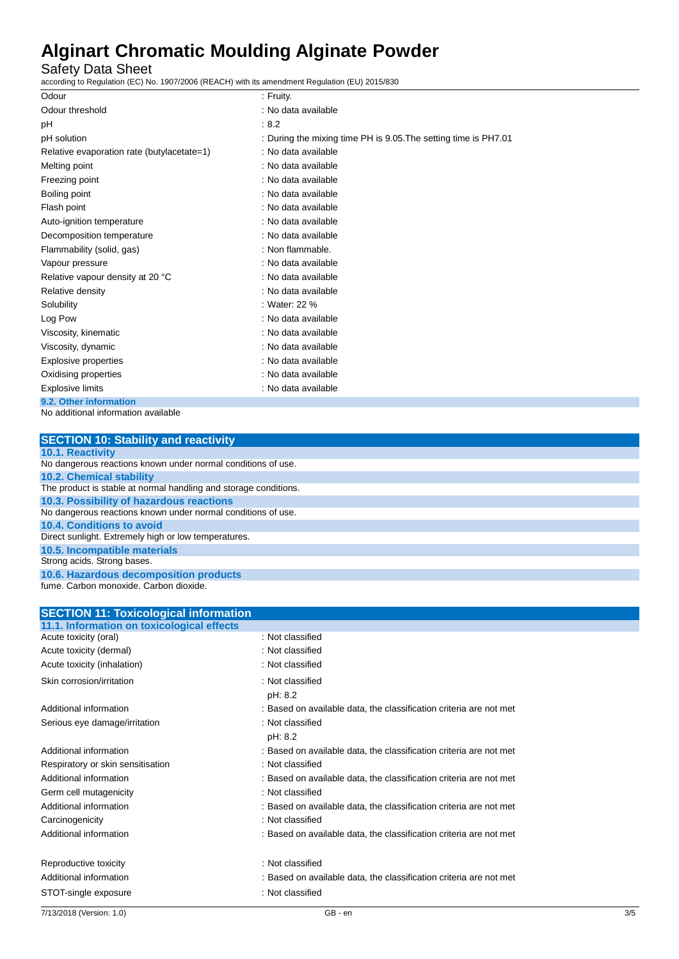Safety Data Sheet

according to Regulation (EC) No. 1907/2006 (REACH) with its amendment Regulation (EU) 2015/830

| Odour                                      | : Fruity.                                                       |
|--------------------------------------------|-----------------------------------------------------------------|
| Odour threshold                            | : No data available                                             |
| рH                                         | : 8.2                                                           |
| pH solution                                | : During the mixing time PH is 9.05. The setting time is PH7.01 |
| Relative evaporation rate (butylacetate=1) | : No data available                                             |
| Melting point                              | : No data available                                             |
| Freezing point                             | : No data available                                             |
| Boiling point                              | : No data available                                             |
| Flash point                                | : No data available                                             |
| Auto-ignition temperature                  | : No data available                                             |
| Decomposition temperature                  | : No data available                                             |
| Flammability (solid, gas)                  | : Non flammable.                                                |
| Vapour pressure                            | : No data available                                             |
| Relative vapour density at 20 °C           | : No data available                                             |
| Relative density                           | : No data available                                             |
| Solubility                                 | : Water: 22 %                                                   |
| Log Pow                                    | : No data available                                             |
| Viscosity, kinematic                       | : No data available                                             |
| Viscosity, dynamic                         | : No data available                                             |
| Explosive properties                       | : No data available                                             |
| Oxidising properties                       | : No data available                                             |
| <b>Explosive limits</b>                    | : No data available                                             |
| 9.2. Other information                     |                                                                 |

No additional information available

| <b>SECTION 10: Stability and reactivity</b>                      |
|------------------------------------------------------------------|
| <b>10.1. Reactivity</b>                                          |
| No dangerous reactions known under normal conditions of use.     |
| <b>10.2. Chemical stability</b>                                  |
| The product is stable at normal handling and storage conditions. |
| 10.3. Possibility of hazardous reactions                         |
| No dangerous reactions known under normal conditions of use.     |
| 10.4. Conditions to avoid                                        |
| Direct sunlight. Extremely high or low temperatures.             |
| 10.5. Incompatible materials                                     |
| Strong acids. Strong bases.                                      |
| 10.6. Hazardous decomposition products                           |
| fume. Carbon monoxide. Carbon dioxide.                           |

| <b>SECTION 11: Toxicological information</b> |                                                                    |     |
|----------------------------------------------|--------------------------------------------------------------------|-----|
| 11.1. Information on toxicological effects   |                                                                    |     |
| Acute toxicity (oral)                        | : Not classified                                                   |     |
| Acute toxicity (dermal)                      | : Not classified                                                   |     |
| Acute toxicity (inhalation)                  | : Not classified                                                   |     |
| Skin corrosion/irritation                    | : Not classified                                                   |     |
|                                              | pH: 8.2                                                            |     |
| Additional information                       | : Based on available data, the classification criteria are not met |     |
| Serious eye damage/irritation                | : Not classified                                                   |     |
|                                              | pH: 8.2                                                            |     |
| Additional information                       | : Based on available data, the classification criteria are not met |     |
| Respiratory or skin sensitisation            | : Not classified                                                   |     |
| Additional information                       | : Based on available data, the classification criteria are not met |     |
| Germ cell mutagenicity                       | : Not classified                                                   |     |
| Additional information                       | : Based on available data, the classification criteria are not met |     |
| Carcinogenicity                              | : Not classified                                                   |     |
| Additional information                       | : Based on available data, the classification criteria are not met |     |
| Reproductive toxicity                        | : Not classified                                                   |     |
| Additional information                       | : Based on available data, the classification criteria are not met |     |
| STOT-single exposure                         | : Not classified                                                   |     |
| 7/13/2018 (Version: 1.0)                     | GB - en                                                            | 3/5 |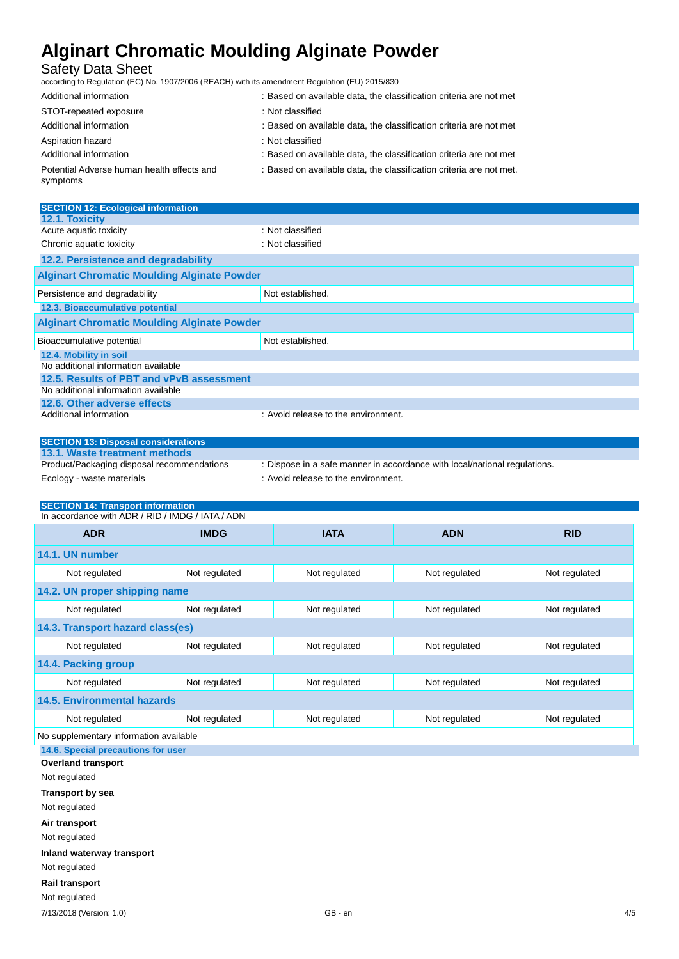### Safety Data Sheet

according to Regulation (EC) No. 1907/2006 (REACH) with its amendment Regulation (EU) 2015/830

| Additional information                                 | : Based on available data, the classification criteria are not met  |
|--------------------------------------------------------|---------------------------------------------------------------------|
| STOT-repeated exposure                                 | : Not classified                                                    |
| Additional information                                 | : Based on available data, the classification criteria are not met  |
| Aspiration hazard                                      | : Not classified                                                    |
| Additional information                                 | : Based on available data, the classification criteria are not met  |
| Potential Adverse human health effects and<br>symptoms | : Based on available data, the classification criteria are not met. |

| <b>SECTION 12: Ecological information</b>          |                                     |  |  |
|----------------------------------------------------|-------------------------------------|--|--|
| 12.1. Toxicity                                     |                                     |  |  |
| Acute aquatic toxicity                             | : Not classified                    |  |  |
| Chronic aquatic toxicity                           | : Not classified                    |  |  |
| 12.2. Persistence and degradability                |                                     |  |  |
| <b>Alginart Chromatic Moulding Alginate Powder</b> |                                     |  |  |
| Persistence and degradability                      | Not established.                    |  |  |
| 12.3. Bioaccumulative potential                    |                                     |  |  |
| <b>Alginart Chromatic Moulding Alginate Powder</b> |                                     |  |  |
| Bioaccumulative potential                          | Not established.                    |  |  |
| 12.4. Mobility in soil                             |                                     |  |  |
| No additional information available                |                                     |  |  |
| 12.5. Results of PBT and vPvB assessment           |                                     |  |  |
| No additional information available                |                                     |  |  |
| 12.6. Other adverse effects                        |                                     |  |  |
| Additional information                             | : Avoid release to the environment. |  |  |

| <b>SECTION 13: Disposal considerations</b> |                                                                           |
|--------------------------------------------|---------------------------------------------------------------------------|
| 13.1. Waste treatment methods              |                                                                           |
| Product/Packaging disposal recommendations | : Dispose in a safe manner in accordance with local/national regulations. |
| Ecology - waste materials                  | : Avoid release to the environment.                                       |

| <b>SECTION 14: Transport information</b><br>In accordance with ADR / RID / IMDG / IATA / ADN |               |               |               |               |
|----------------------------------------------------------------------------------------------|---------------|---------------|---------------|---------------|
| <b>ADR</b>                                                                                   | <b>IMDG</b>   | <b>IATA</b>   | <b>ADN</b>    | <b>RID</b>    |
| 14.1. UN number                                                                              |               |               |               |               |
| Not regulated                                                                                | Not regulated | Not regulated | Not regulated | Not regulated |
| 14.2. UN proper shipping name                                                                |               |               |               |               |
| Not regulated                                                                                | Not regulated | Not regulated | Not regulated | Not regulated |
| 14.3. Transport hazard class(es)                                                             |               |               |               |               |
| Not regulated                                                                                | Not regulated | Not regulated | Not regulated | Not regulated |
| 14.4. Packing group                                                                          |               |               |               |               |
| Not regulated                                                                                | Not regulated | Not regulated | Not regulated | Not regulated |
| <b>14.5. Environmental hazards</b>                                                           |               |               |               |               |
| Not regulated                                                                                | Not regulated | Not regulated | Not regulated | Not regulated |
| No supplementary information available                                                       |               |               |               |               |
| 14.6. Special precautions for user                                                           |               |               |               |               |
| <b>Overland transport</b>                                                                    |               |               |               |               |

Not regulated

**Transport by sea**

Not regulated

**Air transport**

Not regulated

**Inland waterway transport**

Not regulated

#### **Rail transport**